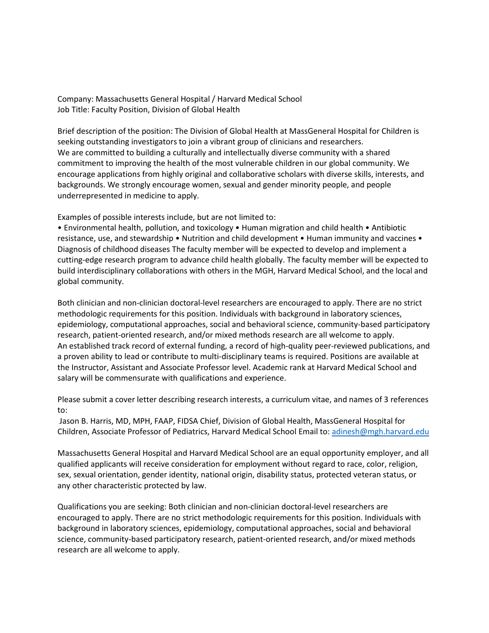Company: Massachusetts General Hospital / Harvard Medical School Job Title: Faculty Position, Division of Global Health

Brief description of the position: The Division of Global Health at MassGeneral Hospital for Children is seeking outstanding investigators to join a vibrant group of clinicians and researchers. We are committed to building a culturally and intellectually diverse community with a shared commitment to improving the health of the most vulnerable children in our global community. We encourage applications from highly original and collaborative scholars with diverse skills, interests, and backgrounds. We strongly encourage women, sexual and gender minority people, and people underrepresented in medicine to apply.

Examples of possible interests include, but are not limited to:

• Environmental health, pollution, and toxicology • Human migration and child health • Antibiotic resistance, use, and stewardship • Nutrition and child development • Human immunity and vaccines • Diagnosis of childhood diseases The faculty member will be expected to develop and implement a cutting-edge research program to advance child health globally. The faculty member will be expected to build interdisciplinary collaborations with others in the MGH, Harvard Medical School, and the local and global community.

Both clinician and non-clinician doctoral-level researchers are encouraged to apply. There are no strict methodologic requirements for this position. Individuals with background in laboratory sciences, epidemiology, computational approaches, social and behavioral science, community-based participatory research, patient-oriented research, and/or mixed methods research are all welcome to apply. An established track record of external funding, a record of high-quality peer-reviewed publications, and a proven ability to lead or contribute to multi-disciplinary teams is required. Positions are available at the Instructor, Assistant and Associate Professor level. Academic rank at Harvard Medical School and salary will be commensurate with qualifications and experience.

Please submit a cover letter describing research interests, a curriculum vitae, and names of 3 references to:

Jason B. Harris, MD, MPH, FAAP, FIDSA Chief, Division of Global Health, MassGeneral Hospital for Children, Associate Professor of Pediatrics, Harvard Medical School Email to[: adinesh@mgh.harvard.edu](mailto:adinesh@mgh.harvard.edu)

Massachusetts General Hospital and Harvard Medical School are an equal opportunity employer, and all qualified applicants will receive consideration for employment without regard to race, color, religion, sex, sexual orientation, gender identity, national origin, disability status, protected veteran status, or any other characteristic protected by law.

Qualifications you are seeking: Both clinician and non-clinician doctoral-level researchers are encouraged to apply. There are no strict methodologic requirements for this position. Individuals with background in laboratory sciences, epidemiology, computational approaches, social and behavioral science, community-based participatory research, patient-oriented research, and/or mixed methods research are all welcome to apply.